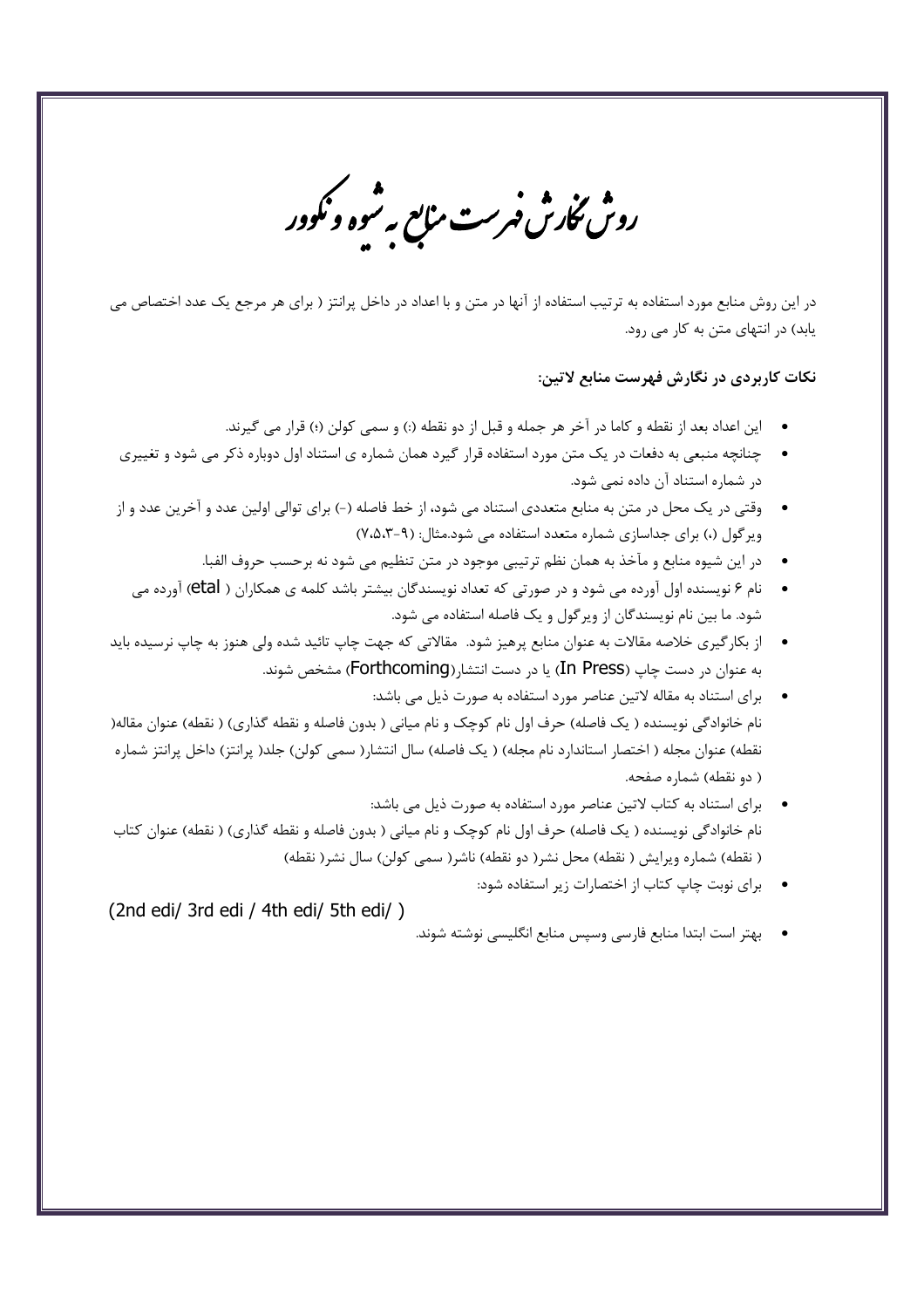روس مکارش فبرست منابع به شوه و نکوور<br>روس مکارش فبرست منابع به شوه و نکوور

در این روش منابع مورد استفاده به ترتیب استفاده از آنها در متن و با اعداد در داخل پرانتز ( برای هر مرجع یک عدد اختصاص می یابد) در انتهای متن به کار می رود.

## نکات کاربردی در نگارش فهرست منابع لاتین:

- اين اعداد بعد از نقطه و كاما در آخر هر جمله و قبل از دو نقطه (:) و سمي كولن (؛) قرار مي گيرند.
- چنانچه منبعی به دفعات در یک متن مورد استفاده قرار گیرد همان شماره ی استناد اول دوباره ذکر می شود و تغییری در شماره استناد آن داده نمی شود.
- وقتی در یک محل در متن به منابع متعددی استناد می شود، از خط فاصله (-) برای توالی اولین عدد و آخرین عدد و از ویر گول (،) برای جداسازی شماره متعدد استفاده می شود.مثال: (۹-۰۵،۳)
	- در این شیوه منابع و مآخذ به همان نظم ترتیبی موجود در متن تنظیم می شود نه برحسب حروف الفبا.
	- نام ۶ نویسنده اول آورده می شود و در صورتی که تعداد نویسندگان بیشتر باشد کلمه ی همکاران ( etal) آورده می شود. ما بین نام نویسندگان از ویرگول و یک فاصله استفاده می شود.
- از بکار گیری خلاصه مقالات به عنوان منابع پرهیز شود. مقالاتی که جهت چاپ تائید شده ولی هنوز به چاپ نرسیده باید به عنوان در دست چاپ (In Press) یا در دست انتشار(Forthcoming) مشخص شوند.
- برای استناد به مقاله لاتین عناصر مورد استفاده به صورت ذیل می باشد: نام خانوادگی نویسنده ( یک فاصله) حرف اول نام کوچک و نام میانی ( بدون فاصله و نقطه گذاری) ( نقطه) عنوان مقاله( نقطه) عنوان مجله ( اختصار استاندارد نام مجله) ( یک فاصله) سال انتشار( سمی کولن) جلد( پرانتز) داخل پرانتز شماره ( دو نقطه) شماره صفحه.
- برای استناد به کتاب لاتین عناصر مورد استفاده به صورت ذیل می باشد: نام خانوادگی نویسنده ( یک فاصله) حرف اول نام کوچک و نام میانی ( بدون فاصله و نقطه گذاری) ( نقطه) عنوان کتاب ( نقطه) شماره ویرایش ( نقطه) محل نشر( دو نقطه) ناشر( سمی کولن) سال نشر( نقطه)
	- برای نوبت چاپ کتاب از اختصارات زیر استفاده شود:

(2nd edi/ 3rd edi / 4th edi/ 5th edi/)

• بهتر است ابتدا منابع فارسي وسپس منابع انگليسي نوشته شوند.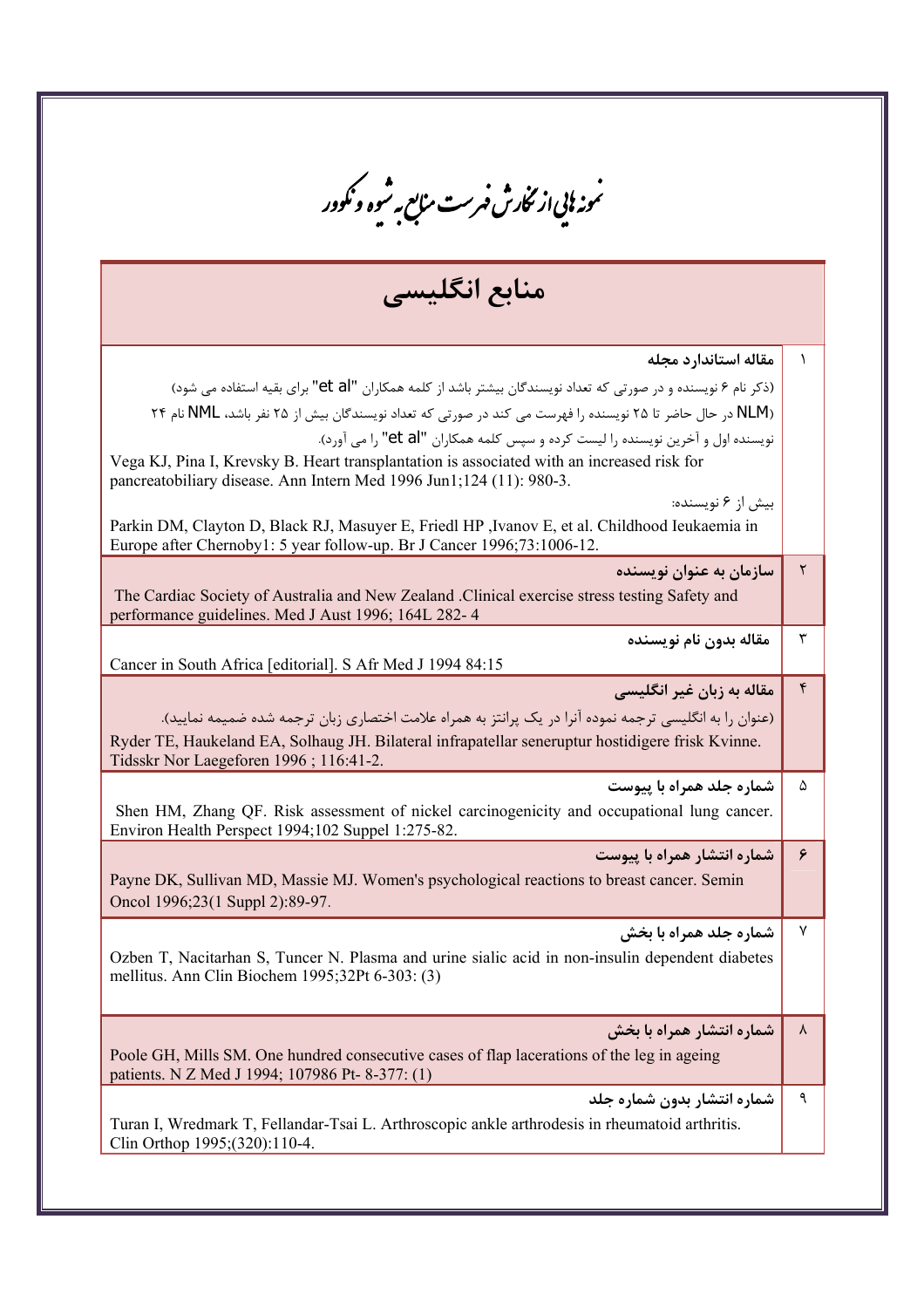<sup>ىم</sup>ونە <sup>ب</sup>ايى از ئنحارش فىرست مى<sub>ل</sub>ىع بەشوە ونكوور منابع انگلیسی مقاله استاندارد مجله (ذکر نام ۶ نویسنده و در صورتی که تعداد نویسندگان بیشتر باشد از کلمه همکاران "et al" برای بقیه استفاده می شود) (NLM در حال حاضر تا ۲۵ نویسنده را فهرست می کند در صورتی که تعداد نویسندگان بیش از ۲۵ نفر باشد، NML نام ۲۴ نویسنده اول و آخرین نویسنده را لیست کرده و سپس کلمه همکاران "et al" را می آورد). Vega KJ, Pina I, Krevsky B. Heart transplantation is associated with an increased risk for pancreatobiliary disease. Ann Intern Med 1996 Jun1;124 (11): 980-3. بیش از ۶ نویسنده: Parkin DM, Clayton D, Black RJ, Masuyer E, Friedl HP Jvanov E, et al. Childhood Ieukaemia in Europe after Chernoby1: 5 year follow-up. Br J Cancer 1996;73:1006-12.  $\mathsf{r}$ سازمان به عنوان نویسنده The Cardiac Society of Australia and New Zealand .Clinical exercise stress testing Safety and performance guidelines. Med J Aust 1996; 164L 282-4  $\mathbf{r}$ مقاله بدون نام نویسنده Cancer in South Africa [editorial]. S Afr Med J 1994 84:15 مقاله به زبان غیر انگلیسی  $\mathbf{\acute{r}}$ (عنوان را به انگلیسی ترجمه نموده آنرا در یک پرانتز به همراه علامت اختصاری زبان ترجمه شده ضمیمه نمایید). Ryder TE, Haukeland EA, Solhaug JH. Bilateral infrapatellar seneruptur hostidigere frisk Kvinne. Tidsskr Nor Laegeforen 1996; 116:41-2. شماره جلد همراه با پیوست  $\Lambda$ Shen HM, Zhang OF. Risk assessment of nickel carcinogenicity and occupational lung cancer. Environ Health Perspect 1994;102 Suppel 1:275-82. شماره انتشار همراه با پیوست ۶ Payne DK, Sullivan MD, Massie MJ. Women's psychological reactions to breast cancer. Semin Oncol 1996;23(1 Suppl 2):89-97. شماره جلد همراه با بخش  $\mathsf{v}$ Ozben T, Nacitarhan S, Tuncer N. Plasma and urine sialic acid in non-insulin dependent diabetes mellitus. Ann Clin Biochem 1995;32Pt 6-303: (3) شماره انتشار همراه با بخش  $\lambda$ Poole GH, Mills SM. One hundred consecutive cases of flap lacerations of the leg in ageing patients. N Z Med J 1994; 107986 Pt-8-377: (1) شماره انتشار بدون شماره جلد ٩ Turan I, Wredmark T, Fellandar-Tsai L. Arthroscopic ankle arthrodesis in rheumatoid arthritis. Clin Orthop 1995;(320):110-4.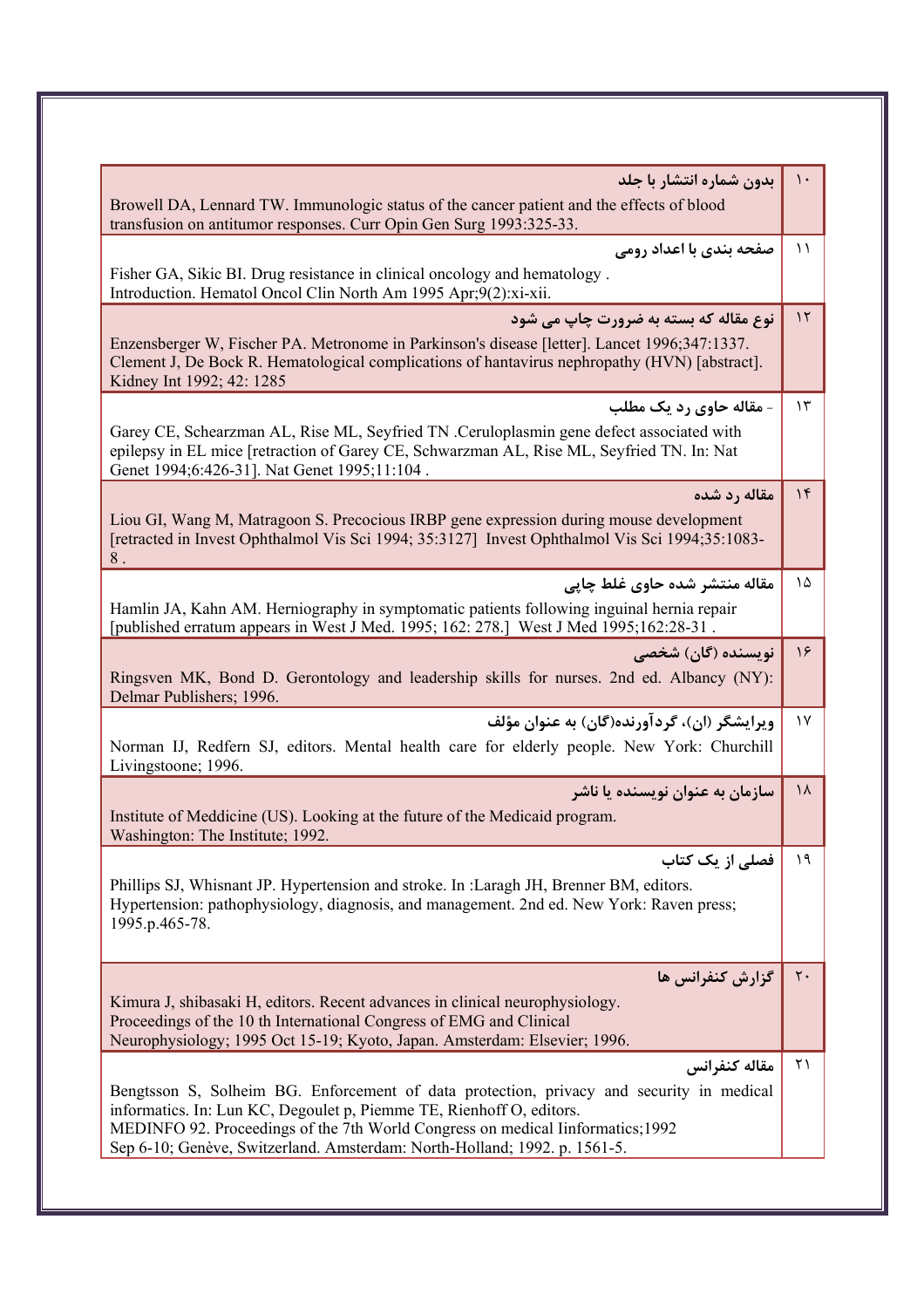| بدون شماره انتشار با جلد<br>Browell DA, Lennard TW. Immunologic status of the cancer patient and the effects of blood<br>transfusion on antitumor responses. Curr Opin Gen Surg 1993:325-33.                                                                                                                                                      | $\mathcal{L}$ |
|---------------------------------------------------------------------------------------------------------------------------------------------------------------------------------------------------------------------------------------------------------------------------------------------------------------------------------------------------|---------------|
| صفحه بندي با اعداد رومي<br>Fisher GA, Sikic BI. Drug resistance in clinical oncology and hematology.<br>Introduction. Hematol Oncol Clin North Am 1995 Apr;9(2):xi-xii.                                                                                                                                                                           | $\setminus$   |
| نوع مقاله که بسته به ضرورت چاپ می شود<br>Enzensberger W, Fischer PA. Metronome in Parkinson's disease [letter]. Lancet 1996;347:1337.<br>Clement J, De Bock R. Hematological complications of hantavirus nephropathy (HVN) [abstract].<br>Kidney Int 1992; 42: 1285                                                                               | $\gamma$      |
| - مقاله حاوي رد يک مطلب<br>Garey CE, Schearzman AL, Rise ML, Seyfried TN .Ceruloplasmin gene defect associated with<br>epilepsy in EL mice [retraction of Garey CE, Schwarzman AL, Rise ML, Seyfried TN. In: Nat<br>Genet 1994;6:426-31]. Nat Genet 1995;11:104.                                                                                  | $\gamma$      |
| مقاله رد شده<br>Liou GI, Wang M, Matragoon S. Precocious IRBP gene expression during mouse development<br>[retracted in Invest Ophthalmol Vis Sci 1994; 35:3127] Invest Ophthalmol Vis Sci 1994;35:1083-<br>$8$ .                                                                                                                                 | $\gamma$      |
| مقاله منتشر شده حاوي غلط چايي<br>Hamlin JA, Kahn AM. Herniography in symptomatic patients following inguinal hernia repair<br>[published erratum appears in West J Med. 1995; 162: 278.] West J Med 1995; 162:28-31.                                                                                                                              | ۱۵            |
| نویسنده (گان) شخصی<br>Ringsven MK, Bond D. Gerontology and leadership skills for nurses. 2nd ed. Albancy (NY):<br>Delmar Publishers; 1996.                                                                                                                                                                                                        | $\frac{1}{2}$ |
| ويرايشگر (ان)، گردآورنده(گان) به عنوان مؤلف<br>Norman IJ, Redfern SJ, editors. Mental health care for elderly people. New York: Churchill<br>Livingstoone; 1996.                                                                                                                                                                                  | $\gamma$      |
| سازمان به عنوان نویسنده یا ناشر<br>Institute of Meddicine (US). Looking at the future of the Medicaid program.<br>Washington: The Institute; 1992.                                                                                                                                                                                                | ۱۸            |
| فصلی از یک کتاب<br>Phillips SJ, Whisnant JP. Hypertension and stroke. In :Laragh JH, Brenner BM, editors.<br>Hypertension: pathophysiology, diagnosis, and management. 2nd ed. New York: Raven press;<br>1995.p.465-78.                                                                                                                           | ۱۹            |
| گزارش کنفرانس ها<br>Kimura J, shibasaki H, editors. Recent advances in clinical neurophysiology.<br>Proceedings of the 10 th International Congress of EMG and Clinical<br>Neurophysiology; 1995 Oct 15-19; Kyoto, Japan. Amsterdam: Elsevier; 1996.                                                                                              |               |
| مقاله كنفرانس<br>Bengtsson S, Solheim BG. Enforcement of data protection, privacy and security in medical<br>informatics. In: Lun KC, Degoulet p, Piemme TE, Rienhoff O, editors.<br>MEDINFO 92. Proceedings of the 7th World Congress on medical linformatics; 1992<br>Sep 6-10; Genève, Switzerland. Amsterdam: North-Holland; 1992. p. 1561-5. | $\uparrow$ )  |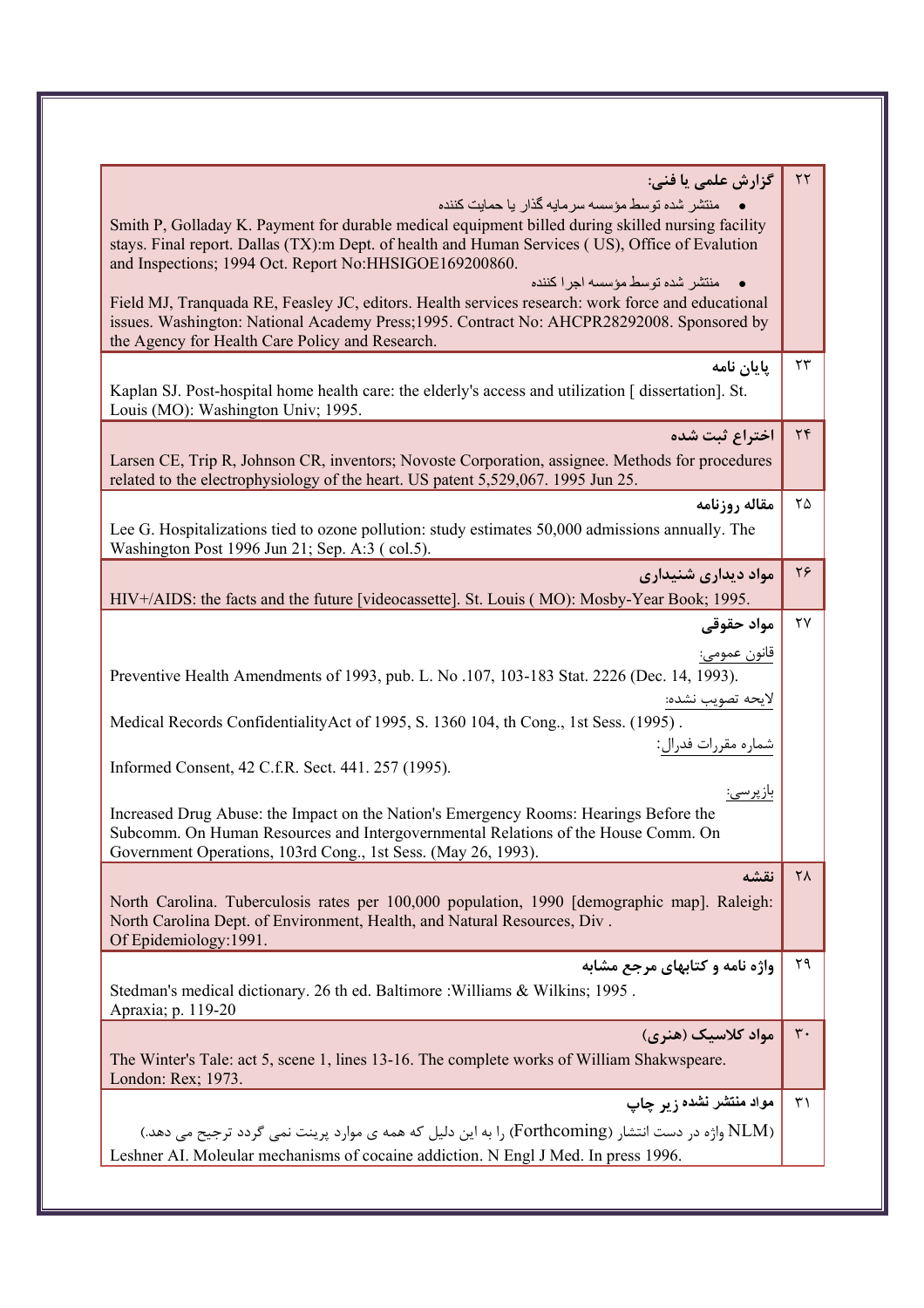| گزارش علمی یا فنی:<br>منتشر شده توسط مؤسسه سرمايه گذار يا حمايت كننده<br>Smith P, Golladay K. Payment for durable medical equipment billed during skilled nursing facility<br>stays. Final report. Dallas (TX):m Dept. of health and Human Services (US), Office of Evalution<br>and Inspections; 1994 Oct. Report No: HHSIGOE169200860.<br>منتشر شده توسط مؤسسه اجرا كننده<br>Field MJ, Tranquada RE, Feasley JC, editors. Health services research: work force and educational<br>issues. Washington: National Academy Press; 1995. Contract No: AHCPR28292008. Sponsored by<br>the Agency for Health Care Policy and Research. | $\tau\tau$          |
|-----------------------------------------------------------------------------------------------------------------------------------------------------------------------------------------------------------------------------------------------------------------------------------------------------------------------------------------------------------------------------------------------------------------------------------------------------------------------------------------------------------------------------------------------------------------------------------------------------------------------------------|---------------------|
| پايان نامه<br>Kaplan SJ. Post-hospital home health care: the elderly's access and utilization [dissertation]. St.<br>Louis (MO): Washington Univ; 1995.                                                                                                                                                                                                                                                                                                                                                                                                                                                                           | ۲۳                  |
| اختراع ثبت شده<br>Larsen CE, Trip R, Johnson CR, inventors; Novoste Corporation, assignee. Methods for procedures<br>related to the electrophysiology of the heart. US patent 5,529,067. 1995 Jun 25.                                                                                                                                                                                                                                                                                                                                                                                                                             | $\tau$              |
| مقاله روزنامه<br>Lee G. Hospitalizations tied to ozone pollution: study estimates 50,000 admissions annually. The<br>Washington Post 1996 Jun 21; Sep. A:3 (col.5).                                                                                                                                                                                                                                                                                                                                                                                                                                                               | ۲۵                  |
| مواد دیداری شنیداری<br>HIV+/AIDS: the facts and the future [videocassette]. St. Louis (MO): Mosby-Year Book; 1995.                                                                                                                                                                                                                                                                                                                                                                                                                                                                                                                | ۲۶                  |
| مواد حقوقى<br>قانون عمومي:<br>Preventive Health Amendments of 1993, pub. L. No .107, 103-183 Stat. 2226 (Dec. 14, 1993).<br><u>لايحه تصويب نشده:</u><br>Medical Records ConfidentialityAct of 1995, S. 1360 104, th Cong., 1st Sess. (1995) .<br>Informed Consent, 42 C.f.R. Sect. 441. 257 (1995).<br><u>بازپرسى:</u><br>Increased Drug Abuse: the Impact on the Nation's Emergency Rooms: Hearings Before the<br>Subcomm. On Human Resources and Intergovernmental Relations of the House Comm. On<br>Government Operations, 103rd Cong., 1st Sess. (May 26, 1993).                                                             | ۲۷                  |
| نقشه<br>North Carolina. Tuberculosis rates per 100,000 population, 1990 [demographic map]. Raleigh:<br>North Carolina Dept. of Environment, Health, and Natural Resources, Div.<br>Of Epidemiology: 1991.                                                                                                                                                                                                                                                                                                                                                                                                                         | $\mathsf{Y}\Lambda$ |
| واژه نامه و کتابهای مرجع مشابه<br>Stedman's medical dictionary. 26 th ed. Baltimore: Williams & Wilkins; 1995.<br>Apraxia; p. 119-20                                                                                                                                                                                                                                                                                                                                                                                                                                                                                              | ۲۹                  |
| مواد کلاسیک (هنری)<br>The Winter's Tale: act 5, scene 1, lines 13-16. The complete works of William Shakwspeare.<br>London: Rex; 1973.                                                                                                                                                                                                                                                                                                                                                                                                                                                                                            | $\mathbf{r}$ .      |
| مواد منتشر نشده زیر چاپ<br>(NLM واژه در دست انتشار (Forthcoming) را به این دلیل که همه ی موارد پرینت نمی گردد ترجیح می دهد.)<br>Leshner AI. Moleular mechanisms of cocaine addiction. N Engl J Med. In press 1996.                                                                                                                                                                                                                                                                                                                                                                                                                | $\uparrow$          |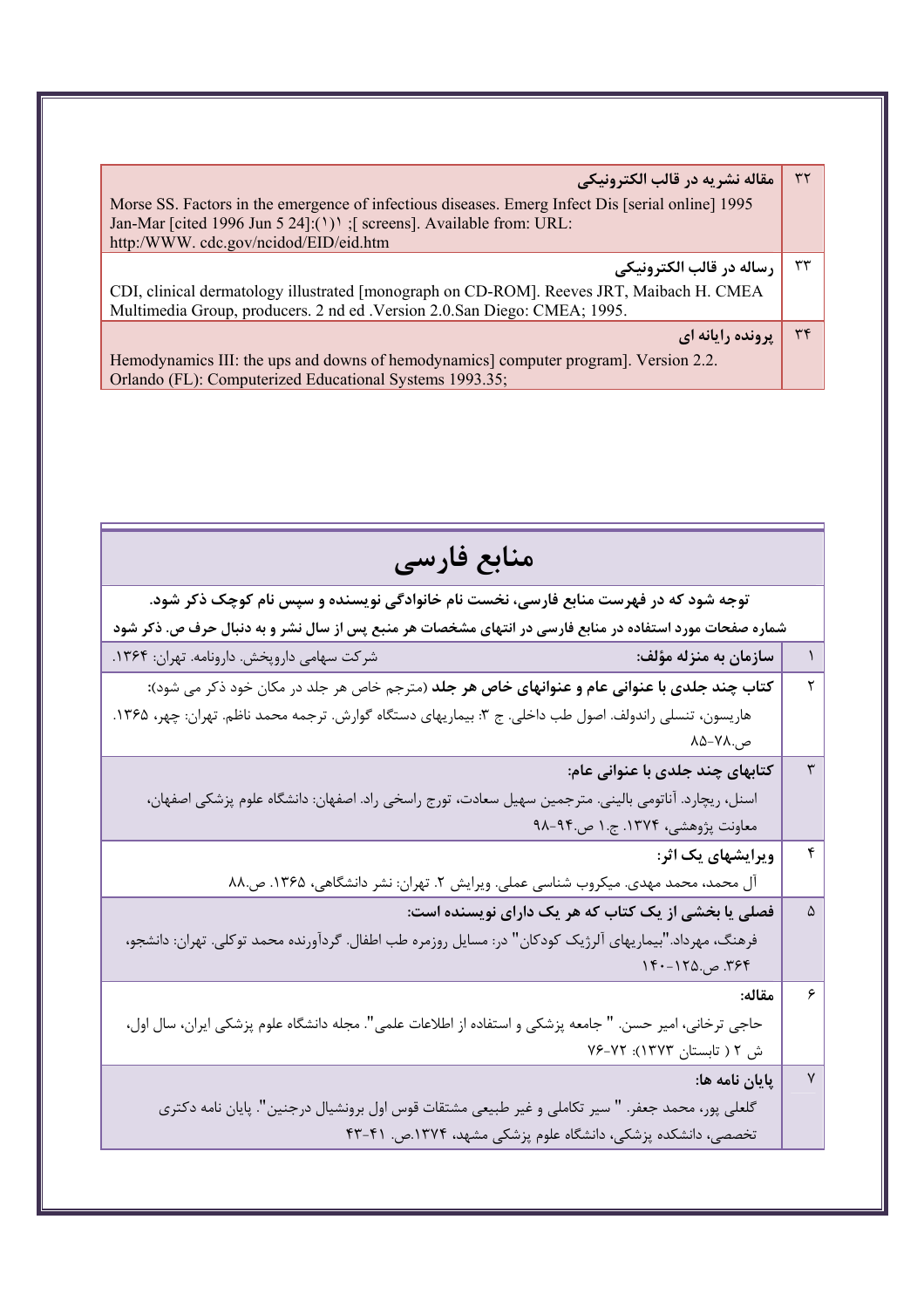| مقاله نشريه در قالب الكترونيكي<br>Morse SS. Factors in the emergence of infectious diseases. Emerg Infect Dis [serial online] 1995<br>Jan-Mar [cited 1996 Jun 5 24]: $(')$ [ screens]. Available from: URL:<br>http:/WWW.cdc.gov/ncidod/EID/eid.htm | $\tau\tau$ |
|-----------------------------------------------------------------------------------------------------------------------------------------------------------------------------------------------------------------------------------------------------|------------|
| رساله در قالب الكترونيكي                                                                                                                                                                                                                            | ٣٣         |
| CDI, clinical dermatology illustrated [monograph on CD-ROM]. Reeves JRT, Maibach H. CMEA<br>Multimedia Group, producers. 2 nd ed . Version 2.0. San Diego: CMEA; 1995.                                                                              |            |
| <b>يرونده رايانه اي</b>                                                                                                                                                                                                                             | $\tau$     |
| Hemodynamics III: the ups and downs of hemodynamics] computer program]. Version 2.2.<br>Orlando (FL): Computerized Educational Systems 1993.35;                                                                                                     |            |

| منابع فارسى                                                                                              |   |
|----------------------------------------------------------------------------------------------------------|---|
| توجه شود که در فهرست منابع فارسی، نخست نام خانوادگی نویسنده و سپس نام کوچک ذکر شود.                      |   |
| شماره صفحات مورد استفاده در منابع فارسی در انتهای مشخصات هر منبع پس از سال نشر و به دنبال حرف ص. ذکر شود |   |
| سازمان به منزله مؤلف:                                                                                    |   |
| <b>کتاب چند جلدی با عنوانی عام و عنوانهای خاص هر جلد</b> (مترجم خاص هر جلد در مکان خود ذکر می شود):      |   |
| هاریسون، تنسلی راندولف. اصول طب داخلی. ج ۳: بیماریهای دستگاه گوارش. ترجمه محمد ناظم. تهران: چهر، ۱۳۶۵.   |   |
| ص.٧٨–٨۵                                                                                                  |   |
| کتابهای چند جلدی با عنوانی عام:                                                                          |   |
| اسنل، ریچارد. آناتومی بالینی. مترجمین سهیل سعادت، تورج راسخی راد. اصفهان: دانشگاه علوم پزشکی اصفهان،     |   |
| معاونت پژوهشی، ۱۳۷۴. ج. ۱ ص.۹۴-۹۸                                                                        |   |
| ویرایشهای یک اثر:                                                                                        | ۴ |
| آل محمد، محمد مهدی. میکروب شناسی عملی. ویرایش ۲. تهران: نشر دانشگاهی، ۱۳۶۵. ص.۸۸                         |   |
| فصلی یا بخشی از یک کتاب که هر یک دارای نویسنده است:                                                      | ۵ |
| فرهنگ، مهرداد."بیماریهای آلرژیک کودکان" در: مسایل روزمره طب اطفال. گردآورنده محمد توکلی. تهران: دانشجو،  |   |
| ۳۶۴. ص.۱۲۵-۱۴۰                                                                                           |   |
| مقاله:                                                                                                   |   |
| حاجي ترخاني، امير حسن. " جامعه پزشكي و استفاده از اطلاعات علمي". مجله دانشگاه علوم پزشكي ايران، سال اول، |   |
| ش ۲ ( تابستان ۱۳۷۳): ۷۲–۷۶                                                                               |   |
| پایان نامه ها:                                                                                           |   |
| گلعلی پور، محمد جعفر. " سیر تکاملی و غیر طبیعی مشتقات قوس اول برونشیال درجنین". پایان نامه دکتری         |   |
| تخصصی، دانشکده پزشکی، دانشگاه علوم پزشکی مشهد، ۱۳۷۴.ص. ۴۱-۴۳                                             |   |